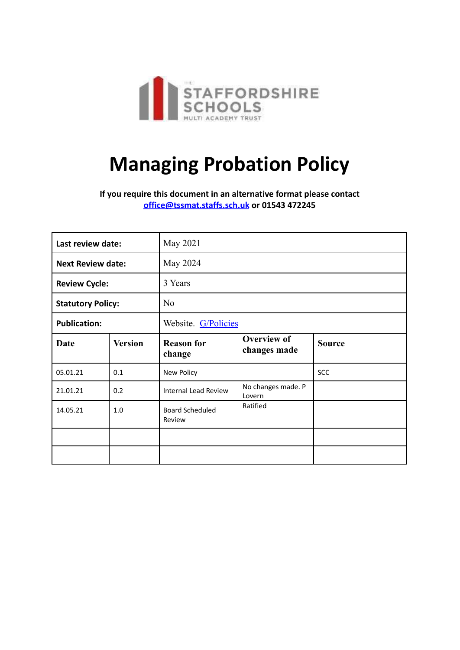

# **Managing Probation Policy**

**If you require this document in an alternative format please contact [office@tssmat.staffs.sch.uk](mailto:office@tssmat.staffs.sch.uk) or 01543 472245**

| Last review date:        |                | May 2021                         |                                    |               |
|--------------------------|----------------|----------------------------------|------------------------------------|---------------|
| <b>Next Review date:</b> |                | May 2024                         |                                    |               |
| <b>Review Cycle:</b>     |                | 3 Years                          |                                    |               |
| <b>Statutory Policy:</b> |                | N <sub>o</sub>                   |                                    |               |
| <b>Publication:</b>      |                | Website. G/Policies              |                                    |               |
| <b>Date</b>              | <b>Version</b> | <b>Reason for</b><br>change      | <b>Overview of</b><br>changes made | <b>Source</b> |
| 05.01.21                 | 0.1            | New Policy                       |                                    | SCC           |
| 21.01.21                 | 0.2            | <b>Internal Lead Review</b>      | No changes made. P<br>Lovern       |               |
| 14.05.21                 | 1.0            | <b>Board Scheduled</b><br>Review | Ratified                           |               |
|                          |                |                                  |                                    |               |
|                          |                |                                  |                                    |               |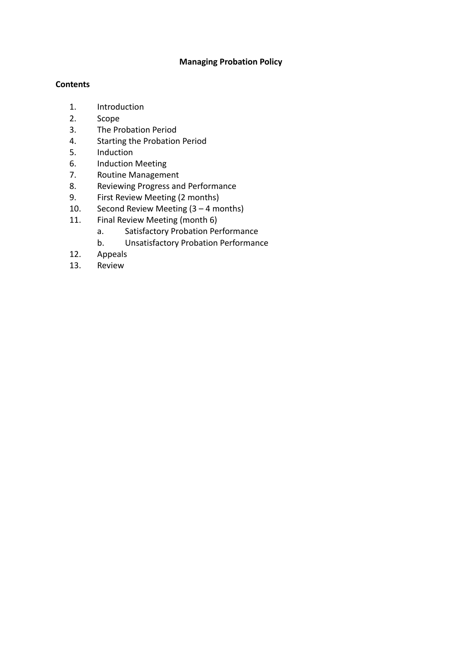#### **Managing Probation Policy**

#### **Contents**

- 1. Introduction
- 2. Scope
- 3. The Probation Period
- 4. Starting the Probation Period
- 5. Induction
- 6. Induction Meeting
- 7. Routine Management
- 8. Reviewing Progress and Performance
- 9. First Review Meeting (2 months)
- 10. Second Review Meeting (3 4 months)
- 11. Final Review Meeting (month 6)
	- a. Satisfactory Probation Performance
	- b. Unsatisfactory Probation Performance
- 12. Appeals
- 13. Review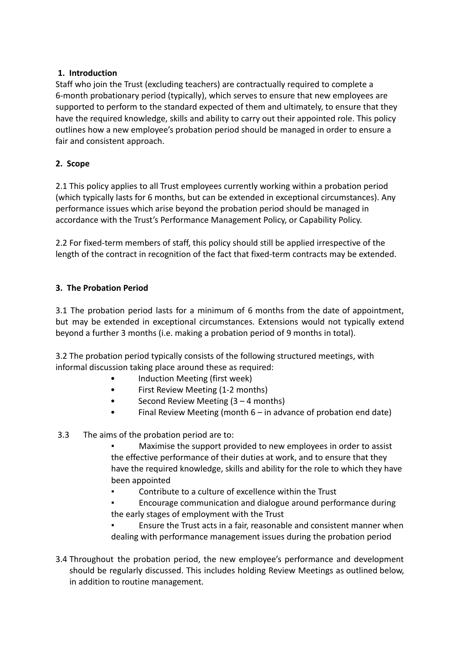#### **1. Introduction**

Staff who join the Trust (excluding teachers) are contractually required to complete a 6-month probationary period (typically), which serves to ensure that new employees are supported to perform to the standard expected of them and ultimately, to ensure that they have the required knowledge, skills and ability to carry out their appointed role. This policy outlines how a new employee's probation period should be managed in order to ensure a fair and consistent approach.

# **2. Scope**

2.1 This policy applies to all Trust employees currently working within a probation period (which typically lasts for 6 months, but can be extended in exceptional circumstances). Any performance issues which arise beyond the probation period should be managed in accordance with the Trust's Performance Management Policy, or Capability Policy.

2.2 For fixed-term members of staff, this policy should still be applied irrespective of the length of the contract in recognition of the fact that fixed-term contracts may be extended.

### **3. The Probation Period**

3.1 The probation period lasts for a minimum of 6 months from the date of appointment, but may be extended in exceptional circumstances. Extensions would not typically extend beyond a further 3 months (i.e. making a probation period of 9 months in total).

3.2 The probation period typically consists of the following structured meetings, with informal discussion taking place around these as required:

- Induction Meeting (first week)
- First Review Meeting (1-2 months)
- Second Review Meeting  $(3 4$  months)
- Final Review Meeting (month  $6 in$  advance of probation end date)
- 3.3 The aims of the probation period are to:

Maximise the support provided to new employees in order to assist the effective performance of their duties at work, and to ensure that they have the required knowledge, skills and ability for the role to which they have been appointed

Contribute to a culture of excellence within the Trust

Encourage communication and dialogue around performance during the early stages of employment with the Trust

Ensure the Trust acts in a fair, reasonable and consistent manner when dealing with performance management issues during the probation period

3.4 Throughout the probation period, the new employee's performance and development should be regularly discussed. This includes holding Review Meetings as outlined below, in addition to routine management.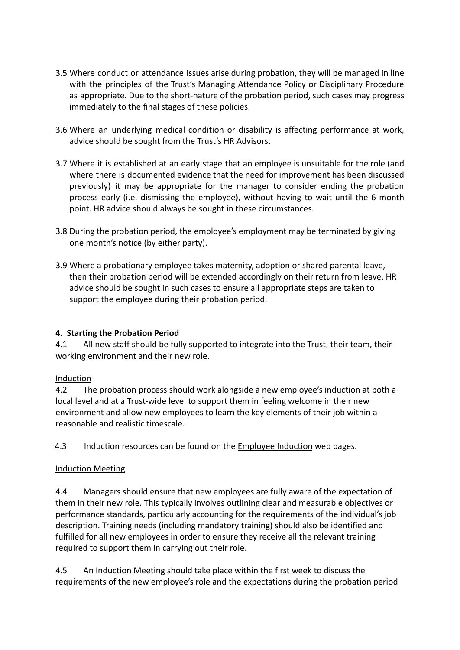- 3.5 Where conduct or attendance issues arise during probation, they will be managed in line with the principles of the Trust's Managing Attendance Policy or Disciplinary Procedure as appropriate. Due to the short-nature of the probation period, such cases may progress immediately to the final stages of these policies.
- 3.6 Where an underlying medical condition or disability is affecting performance at work, advice should be sought from the Trust's HR Advisors.
- 3.7 Where it is established at an early stage that an employee is unsuitable for the role (and where there is documented evidence that the need for improvement has been discussed previously) it may be appropriate for the manager to consider ending the probation process early (i.e. dismissing the employee), without having to wait until the 6 month point. HR advice should always be sought in these circumstances.
- 3.8 During the probation period, the employee's employment may be terminated by giving one month's notice (by either party).
- 3.9 Where a probationary employee takes maternity, adoption or shared parental leave, then their probation period will be extended accordingly on their return from leave. HR advice should be sought in such cases to ensure all appropriate steps are taken to support the employee during their probation period.

# **4. Starting the Probation Period**

4.1 All new staff should be fully supported to integrate into the Trust, their team, their working environment and their new role.

# Induction

4.2 The probation process should work alongside a new employee's induction at both a local level and at a Trust-wide level to support them in feeling welcome in their new environment and allow new employees to learn the key elements of their job within a reasonable and realistic timescale.

4.3 Induction resources can be found on the [Employee](http://www.gla.ac.uk/services/humanresources/new/induction/) Induction web pages.

# Induction Meeting

4.4 Managers should ensure that new employees are fully aware of the expectation of them in their new role. This typically involves outlining clear and measurable objectives or performance standards, particularly accounting for the requirements of the individual's job description. Training needs (including mandatory training) should also be identified and fulfilled for all new employees in order to ensure they receive all the relevant training required to support them in carrying out their role.

4.5 An Induction Meeting should take place within the first week to discuss the requirements of the new employee's role and the expectations during the probation period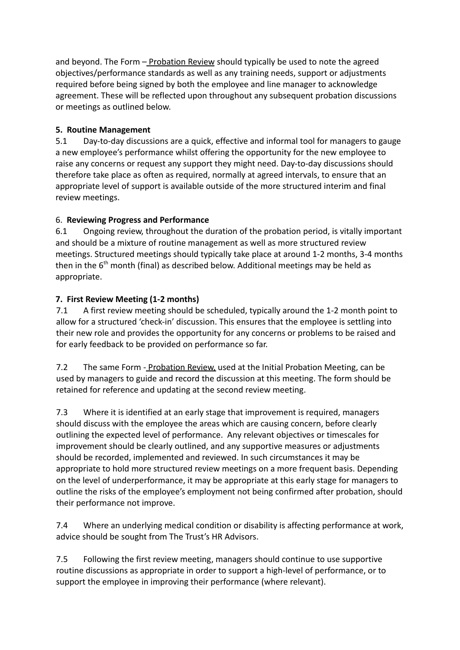and beyond. The Form – Probation Review should typically be used to note the agreed objectives/performance standards as well as any training needs, support or adjustments required before being signed by both the employee and line manager to acknowledge agreement. These will be reflected upon throughout any subsequent probation discussions or meetings as outlined below.

# **5. Routine Management**

5.1 Day-to-day discussions are a quick, effective and informal tool for managers to gauge a new employee's performance whilst offering the opportunity for the new employee to raise any concerns or request any support they might need. Day-to-day discussions should therefore take place as often as required, normally at agreed intervals, to ensure that an appropriate level of support is available outside of the more structured interim and final review meetings.

# 6. **Reviewing Progress and Performance**

6.1 Ongoing review, throughout the duration of the probation period, is vitally important and should be a mixture of routine management as well as more structured review meetings. Structured meetings should typically take place at around 1-2 months, 3-4 months then in the  $6<sup>th</sup>$  month (final) as described below. Additional meetings may be held as appropriate.

# **7. First Review Meeting (1-2 months)**

7.1 A first review meeting should be scheduled, typically around the 1-2 month point to allow for a structured 'check-in' discussion. This ensures that the employee is settling into their new role and provides the opportunity for any concerns or problems to be raised and for early feedback to be provided on performance so far.

7.2 The same Form - Probation Review, used at the Initial Probation Meeting, can be used by managers to guide and record the discussion at this meeting. The form should be retained for reference and updating at the second review meeting.

7.3 Where it is identified at an early stage that improvement is required, managers should discuss with the employee the areas which are causing concern, before clearly outlining the expected level of performance. Any relevant objectives or timescales for improvement should be clearly outlined, and any supportive measures or adjustments should be recorded, implemented and reviewed. In such circumstances it may be appropriate to hold more structured review meetings on a more frequent basis. Depending on the level of underperformance, it may be appropriate at this early stage for managers to outline the risks of the employee's employment not being confirmed after probation, should their performance not improve.

7.4 Where an underlying medical condition or disability is affecting performance at work, advice should be sought from The Trust's HR Advisors.

7.5 Following the first review meeting, managers should continue to use supportive routine discussions as appropriate in order to support a high-level of performance, or to support the employee in improving their performance (where relevant).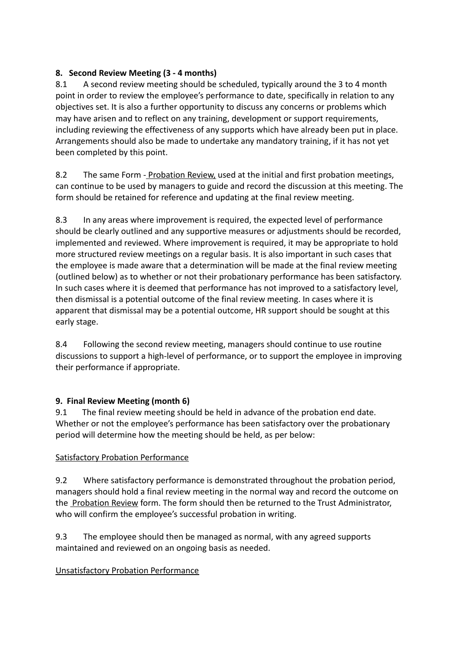# **8. Second Review Meeting (3 - 4 months)**

8.1 A second review meeting should be scheduled, typically around the 3 to 4 month point in order to review the employee's performance to date, specifically in relation to any objectives set. It is also a further opportunity to discuss any concerns or problems which may have arisen and to reflect on any training, development or support requirements, including reviewing the effectiveness of any supports which have already been put in place. Arrangements should also be made to undertake any mandatory training, if it has not yet been completed by this point.

8.2 The same Form - Probation Review, used at the initial and first probation meetings, can continue to be used by managers to guide and record the discussion at this meeting. The form should be retained for reference and updating at the final review meeting.

8.3 In any areas where improvement is required, the expected level of performance should be clearly outlined and any supportive measures or adjustments should be recorded, implemented and reviewed. Where improvement is required, it may be appropriate to hold more structured review meetings on a regular basis. It is also important in such cases that the employee is made aware that a determination will be made at the final review meeting (outlined below) as to whether or not their probationary performance has been satisfactory. In such cases where it is deemed that performance has not improved to a satisfactory level, then dismissal is a potential outcome of the final review meeting. In cases where it is apparent that dismissal may be a potential outcome, HR support should be sought at this early stage.

8.4 Following the second review meeting, managers should continue to use routine discussions to support a high-level of performance, or to support the employee in improving their performance if appropriate.

# **9. Final Review Meeting (month 6)**

9.1 The final review meeting should be held in advance of the probation end date. Whether or not the employee's performance has been satisfactory over the probationary period will determine how the meeting should be held, as per below:

# Satisfactory Probation Performance

9.2 Where satisfactory performance is demonstrated throughout the probation period, managers should hold a final review meeting in the normal way and record the outcome on the Probation Review form. The form should then be returned to the Trust Administrator, who will confirm the employee's successful probation in writing.

9.3 The employee should then be managed as normal, with any agreed supports maintained and reviewed on an ongoing basis as needed.

# Unsatisfactory Probation Performance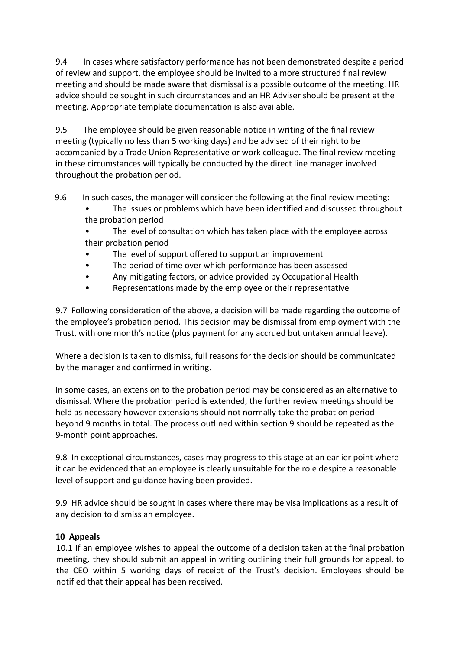9.4 In cases where satisfactory performance has not been demonstrated despite a period of review and support, the employee should be invited to a more structured final review meeting and should be made aware that dismissal is a possible outcome of the meeting. HR advice should be sought in such circumstances and an HR Adviser should be present at the meeting. Appropriate template documentation is also available.

9.5 The employee should be given reasonable notice in writing of the final review meeting (typically no less than 5 working days) and be advised of their right to be accompanied by a Trade Union Representative or work colleague. The final review meeting in these circumstances will typically be conducted by the direct line manager involved throughout the probation period.

9.6 In such cases, the manager will consider the following at the final review meeting:

- The issues or problems which have been identified and discussed throughout the probation period
- The level of consultation which has taken place with the employee across their probation period
- The level of support offered to support an improvement
- The period of time over which performance has been assessed
- Any mitigating factors, or advice provided by Occupational Health
- Representations made by the employee or their representative

9.7 Following consideration of the above, a decision will be made regarding the outcome of the employee's probation period. This decision may be dismissal from employment with the Trust, with one month's notice (plus payment for any accrued but untaken annual leave).

Where a decision is taken to dismiss, full reasons for the decision should be communicated by the manager and confirmed in writing.

In some cases, an extension to the probation period may be considered as an alternative to dismissal. Where the probation period is extended, the further review meetings should be held as necessary however extensions should not normally take the probation period beyond 9 months in total. The process outlined within section 9 should be repeated as the 9-month point approaches.

9.8 In exceptional circumstances, cases may progress to this stage at an earlier point where it can be evidenced that an employee is clearly unsuitable for the role despite a reasonable level of support and guidance having been provided.

9.9 HR advice should be sought in cases where there may be visa implications as a result of any decision to dismiss an employee.

# **10 Appeals**

10.1 If an employee wishes to appeal the outcome of a decision taken at the final probation meeting, they should submit an appeal in writing outlining their full grounds for appeal, to the CEO within 5 working days of receipt of the Trust's decision. Employees should be notified that their appeal has been received.